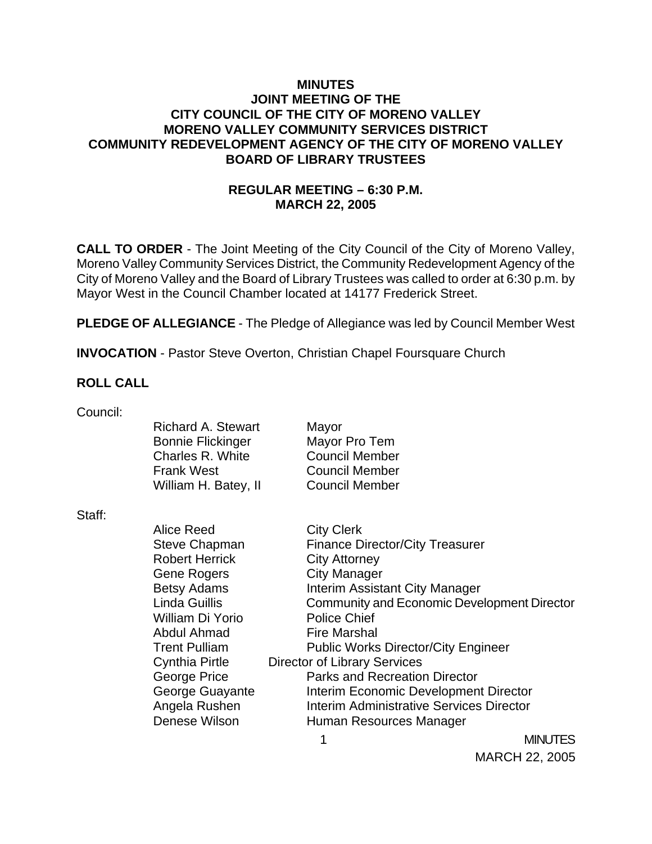### **MINUTES JOINT MEETING OF THE CITY COUNCIL OF THE CITY OF MORENO VALLEY MORENO VALLEY COMMUNITY SERVICES DISTRICT COMMUNITY REDEVELOPMENT AGENCY OF THE CITY OF MORENO VALLEY BOARD OF LIBRARY TRUSTEES**

### **REGULAR MEETING – 6:30 P.M. MARCH 22, 2005**

**CALL TO ORDER** - The Joint Meeting of the City Council of the City of Moreno Valley, Moreno Valley Community Services District, the Community Redevelopment Agency of the City of Moreno Valley and the Board of Library Trustees was called to order at 6:30 p.m. by Mayor West in the Council Chamber located at 14177 Frederick Street.

**PLEDGE OF ALLEGIANCE** - The Pledge of Allegiance was led by Council Member West

**INVOCATION** - Pastor Steve Overton, Christian Chapel Foursquare Church

#### **ROLL CALL**

| Council: |                           |                                                 |                |
|----------|---------------------------|-------------------------------------------------|----------------|
|          | <b>Richard A. Stewart</b> | Mayor                                           |                |
|          | <b>Bonnie Flickinger</b>  | Mayor Pro Tem                                   |                |
|          | Charles R. White          | <b>Council Member</b>                           |                |
|          | <b>Frank West</b>         | <b>Council Member</b>                           |                |
|          | William H. Batey, II      | <b>Council Member</b>                           |                |
| Staff:   |                           |                                                 |                |
|          | Alice Reed                | <b>City Clerk</b>                               |                |
|          | <b>Steve Chapman</b>      | <b>Finance Director/City Treasurer</b>          |                |
|          | <b>Robert Herrick</b>     | <b>City Attorney</b>                            |                |
|          | Gene Rogers               | City Manager                                    |                |
|          | <b>Betsy Adams</b>        | Interim Assistant City Manager                  |                |
|          | Linda Guillis             | Community and Economic Development Director     |                |
|          | William Di Yorio          | <b>Police Chief</b>                             |                |
|          | Abdul Ahmad               | <b>Fire Marshal</b>                             |                |
|          | <b>Trent Pulliam</b>      | <b>Public Works Director/City Engineer</b>      |                |
|          | Cynthia Pirtle            | <b>Director of Library Services</b>             |                |
|          | George Price              | <b>Parks and Recreation Director</b>            |                |
|          | George Guayante           | Interim Economic Development Director           |                |
|          | Angela Rushen             | <b>Interim Administrative Services Director</b> |                |
|          | Denese Wilson             | Human Resources Manager                         |                |
|          |                           |                                                 | <b>MINUTES</b> |

MARCH 22, 2005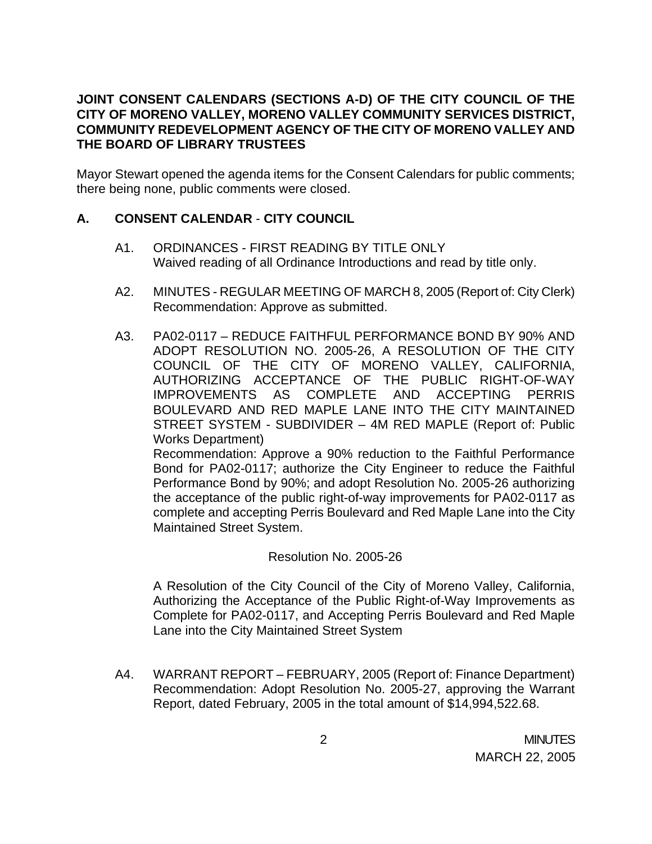### **JOINT CONSENT CALENDARS (SECTIONS A-D) OF THE CITY COUNCIL OF THE CITY OF MORENO VALLEY, MORENO VALLEY COMMUNITY SERVICES DISTRICT, COMMUNITY REDEVELOPMENT AGENCY OF THE CITY OF MORENO VALLEY AND THE BOARD OF LIBRARY TRUSTEES**

Mayor Stewart opened the agenda items for the Consent Calendars for public comments; there being none, public comments were closed.

# **A. CONSENT CALENDAR** - **CITY COUNCIL**

- A1. ORDINANCES FIRST READING BY TITLE ONLY Waived reading of all Ordinance Introductions and read by title only.
- A2. MINUTES REGULAR MEETING OF MARCH 8, 2005 (Report of: City Clerk) Recommendation: Approve as submitted.
- A3. PA02-0117 REDUCE FAITHFUL PERFORMANCE BOND BY 90% AND ADOPT RESOLUTION NO. 2005-26, A RESOLUTION OF THE CITY COUNCIL OF THE CITY OF MORENO VALLEY, CALIFORNIA, AUTHORIZING ACCEPTANCE OF THE PUBLIC RIGHT-OF-WAY IMPROVEMENTS AS COMPLETE AND ACCEPTING PERRIS BOULEVARD AND RED MAPLE LANE INTO THE CITY MAINTAINED STREET SYSTEM - SUBDIVIDER – 4M RED MAPLE (Report of: Public Works Department)

Recommendation: Approve a 90% reduction to the Faithful Performance Bond for PA02-0117; authorize the City Engineer to reduce the Faithful Performance Bond by 90%; and adopt Resolution No. 2005-26 authorizing the acceptance of the public right-of-way improvements for PA02-0117 as complete and accepting Perris Boulevard and Red Maple Lane into the City Maintained Street System.

### Resolution No. 2005-26

A Resolution of the City Council of the City of Moreno Valley, California, Authorizing the Acceptance of the Public Right-of-Way Improvements as Complete for PA02-0117, and Accepting Perris Boulevard and Red Maple Lane into the City Maintained Street System

A4. WARRANT REPORT – FEBRUARY, 2005 (Report of: Finance Department) Recommendation: Adopt Resolution No. 2005-27, approving the Warrant Report, dated February, 2005 in the total amount of \$14,994,522.68.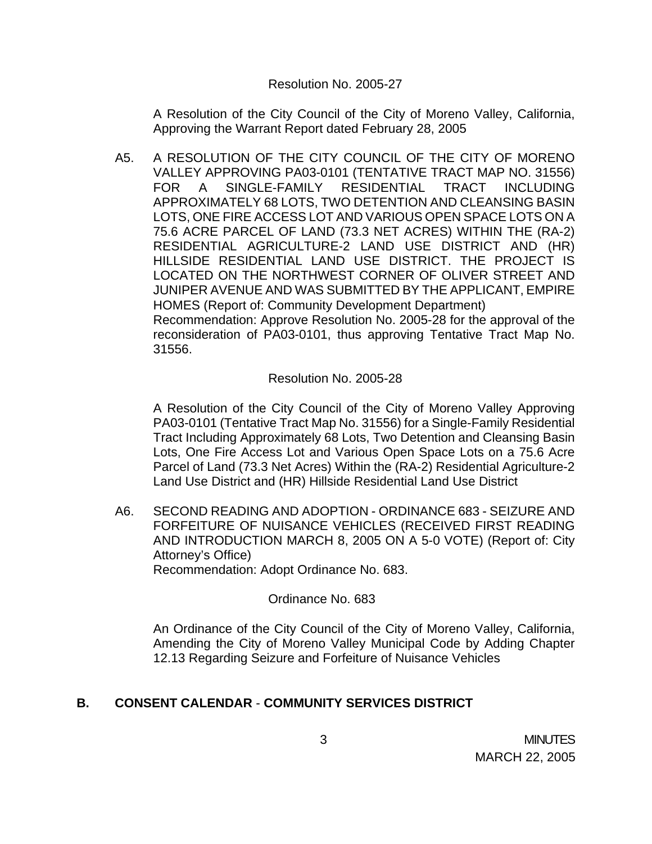#### Resolution No. 2005-27

A Resolution of the City Council of the City of Moreno Valley, California, Approving the Warrant Report dated February 28, 2005

A5. A RESOLUTION OF THE CITY COUNCIL OF THE CITY OF MORENO VALLEY APPROVING PA03-0101 (TENTATIVE TRACT MAP NO. 31556) FOR A SINGLE-FAMILY RESIDENTIAL TRACT INCLUDING APPROXIMATELY 68 LOTS, TWO DETENTION AND CLEANSING BASIN LOTS, ONE FIRE ACCESS LOT AND VARIOUS OPEN SPACE LOTS ON A 75.6 ACRE PARCEL OF LAND (73.3 NET ACRES) WITHIN THE (RA-2) RESIDENTIAL AGRICULTURE-2 LAND USE DISTRICT AND (HR) HILLSIDE RESIDENTIAL LAND USE DISTRICT. THE PROJECT IS LOCATED ON THE NORTHWEST CORNER OF OLIVER STREET AND JUNIPER AVENUE AND WAS SUBMITTED BY THE APPLICANT, EMPIRE HOMES (Report of: Community Development Department) Recommendation: Approve Resolution No. 2005-28 for the approval of the reconsideration of PA03-0101, thus approving Tentative Tract Map No. 31556.

### Resolution No. 2005-28

A Resolution of the City Council of the City of Moreno Valley Approving PA03-0101 (Tentative Tract Map No. 31556) for a Single-Family Residential Tract Including Approximately 68 Lots, Two Detention and Cleansing Basin Lots, One Fire Access Lot and Various Open Space Lots on a 75.6 Acre Parcel of Land (73.3 Net Acres) Within the (RA-2) Residential Agriculture-2 Land Use District and (HR) Hillside Residential Land Use District

A6. SECOND READING AND ADOPTION - ORDINANCE 683 - SEIZURE AND FORFEITURE OF NUISANCE VEHICLES (RECEIVED FIRST READING AND INTRODUCTION MARCH 8, 2005 ON A 5-0 VOTE) (Report of: City Attorney's Office) Recommendation: Adopt Ordinance No. 683.

Ordinance No. 683

An Ordinance of the City Council of the City of Moreno Valley, California, Amending the City of Moreno Valley Municipal Code by Adding Chapter 12.13 Regarding Seizure and Forfeiture of Nuisance Vehicles

# **B. CONSENT CALENDAR** - **COMMUNITY SERVICES DISTRICT**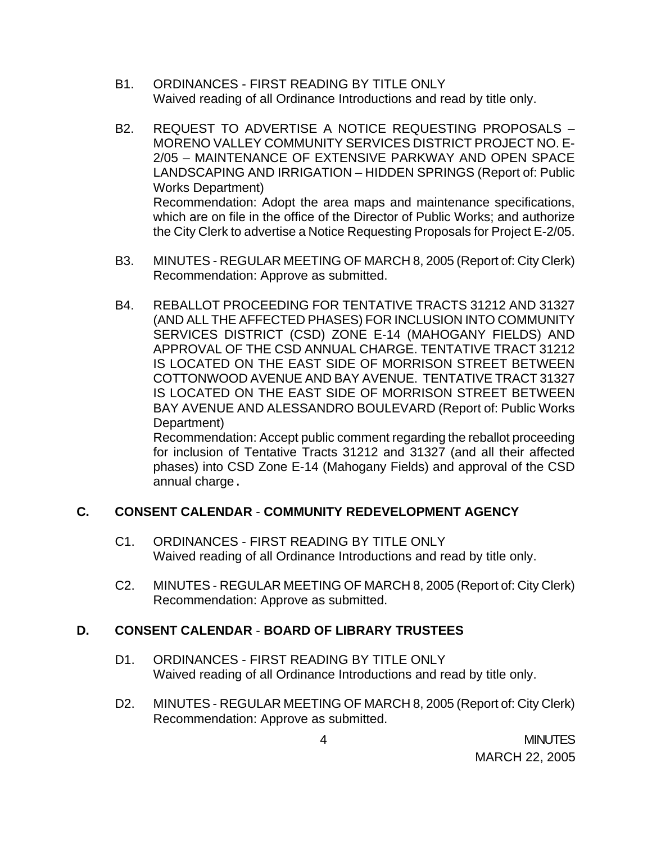- B1. ORDINANCES FIRST READING BY TITLE ONLY Waived reading of all Ordinance Introductions and read by title only.
- B2. REQUEST TO ADVERTISE A NOTICE REQUESTING PROPOSALS MORENO VALLEY COMMUNITY SERVICES DISTRICT PROJECT NO. E-2/05 – MAINTENANCE OF EXTENSIVE PARKWAY AND OPEN SPACE LANDSCAPING AND IRRIGATION – HIDDEN SPRINGS (Report of: Public Works Department) Recommendation: Adopt the area maps and maintenance specifications, which are on file in the office of the Director of Public Works; and authorize the City Clerk to advertise a Notice Requesting Proposals for Project E-2/05.
- B3. MINUTES REGULAR MEETING OF MARCH 8, 2005 (Report of: City Clerk) Recommendation: Approve as submitted.
- B4. REBALLOT PROCEEDING FOR TENTATIVE TRACTS 31212 AND 31327 (AND ALL THE AFFECTED PHASES) FOR INCLUSION INTO COMMUNITY SERVICES DISTRICT (CSD) ZONE E-14 (MAHOGANY FIELDS) AND APPROVAL OF THE CSD ANNUAL CHARGE. TENTATIVE TRACT 31212 IS LOCATED ON THE EAST SIDE OF MORRISON STREET BETWEEN COTTONWOOD AVENUE AND BAY AVENUE. TENTATIVE TRACT 31327 IS LOCATED ON THE EAST SIDE OF MORRISON STREET BETWEEN BAY AVENUE AND ALESSANDRO BOULEVARD (Report of: Public Works Department)

Recommendation: Accept public comment regarding the reballot proceeding for inclusion of Tentative Tracts 31212 and 31327 (and all their affected phases) into CSD Zone E-14 (Mahogany Fields) and approval of the CSD annual charge.

# **C. CONSENT CALENDAR** - **COMMUNITY REDEVELOPMENT AGENCY**

- C1. ORDINANCES FIRST READING BY TITLE ONLY Waived reading of all Ordinance Introductions and read by title only.
- C2. MINUTES REGULAR MEETING OF MARCH 8, 2005 (Report of: City Clerk) Recommendation: Approve as submitted.

### **D. CONSENT CALENDAR** - **BOARD OF LIBRARY TRUSTEES**

- D1. ORDINANCES FIRST READING BY TITLE ONLY Waived reading of all Ordinance Introductions and read by title only.
- D2. MINUTES REGULAR MEETING OF MARCH 8, 2005 (Report of: City Clerk) Recommendation: Approve as submitted.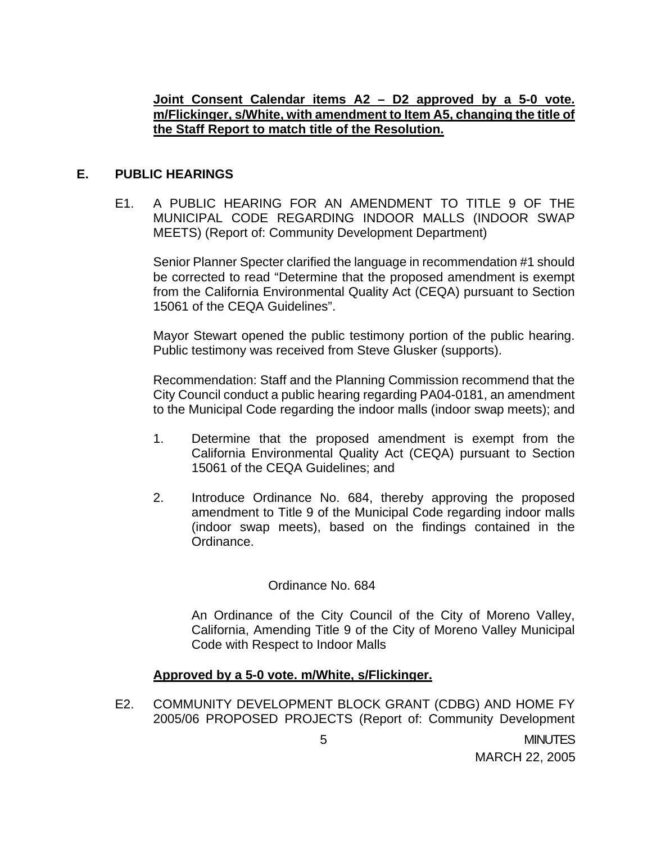### **Joint Consent Calendar items A2 – D2 approved by a 5-0 vote. m/Flickinger, s/White, with amendment to Item A5, changing the title of the Staff Report to match title of the Resolution.**

### **E. PUBLIC HEARINGS**

E1. A PUBLIC HEARING FOR AN AMENDMENT TO TITLE 9 OF THE MUNICIPAL CODE REGARDING INDOOR MALLS (INDOOR SWAP MEETS) (Report of: Community Development Department)

Senior Planner Specter clarified the language in recommendation #1 should be corrected to read "Determine that the proposed amendment is exempt from the California Environmental Quality Act (CEQA) pursuant to Section 15061 of the CEQA Guidelines".

 Mayor Stewart opened the public testimony portion of the public hearing. Public testimony was received from Steve Glusker (supports).

 Recommendation: Staff and the Planning Commission recommend that the City Council conduct a public hearing regarding PA04-0181, an amendment to the Municipal Code regarding the indoor malls (indoor swap meets); and

- 1. Determine that the proposed amendment is exempt from the California Environmental Quality Act (CEQA) pursuant to Section 15061 of the CEQA Guidelines; and
- 2. Introduce Ordinance No. 684, thereby approving the proposed amendment to Title 9 of the Municipal Code regarding indoor malls (indoor swap meets), based on the findings contained in the Ordinance.

### Ordinance No. 684

An Ordinance of the City Council of the City of Moreno Valley, California, Amending Title 9 of the City of Moreno Valley Municipal Code with Respect to Indoor Malls

### **Approved by a 5-0 vote. m/White, s/Flickinger.**

E2. COMMUNITY DEVELOPMENT BLOCK GRANT (CDBG) AND HOME FY 2005/06 PROPOSED PROJECTS (Report of: Community Development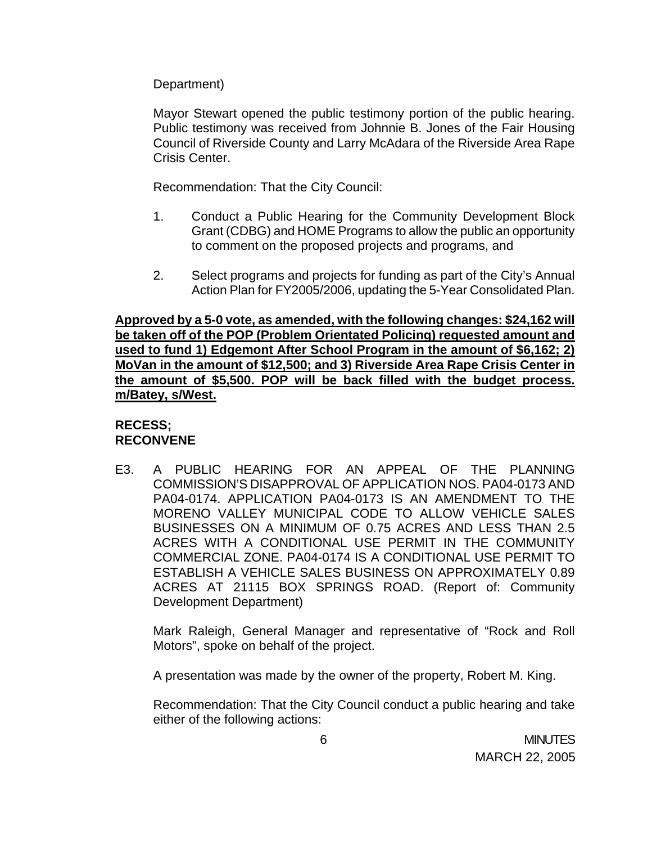Department)

 Mayor Stewart opened the public testimony portion of the public hearing. Public testimony was received from Johnnie B. Jones of the Fair Housing Council of Riverside County and Larry McAdara of the Riverside Area Rape Crisis Center.

Recommendation: That the City Council:

- 1. Conduct a Public Hearing for the Community Development Block Grant (CDBG) and HOME Programs to allow the public an opportunity to comment on the proposed projects and programs, and
- 2. Select programs and projects for funding as part of the City's Annual Action Plan for FY2005/2006, updating the 5-Year Consolidated Plan.

**Approved by a 5-0 vote, as amended, with the following changes: \$24,162 will be taken off of the POP (Problem Orientated Policing) requested amount and used to fund 1) Edgemont After School Program in the amount of \$6,162; 2) MoVan in the amount of \$12,500; and 3) Riverside Area Rape Crisis Center in the amount of \$5,500. POP will be back filled with the budget process. m/Batey, s/West.**

### **RECESS; RECONVENE**

E3. A PUBLIC HEARING FOR AN APPEAL OF THE PLANNING COMMISSION'S DISAPPROVAL OF APPLICATION NOS. PA04-0173 AND PA04-0174. APPLICATION PA04-0173 IS AN AMENDMENT TO THE MORENO VALLEY MUNICIPAL CODE TO ALLOW VEHICLE SALES BUSINESSES ON A MINIMUM OF 0.75 ACRES AND LESS THAN 2.5 ACRES WITH A CONDITIONAL USE PERMIT IN THE COMMUNITY COMMERCIAL ZONE. PA04-0174 IS A CONDITIONAL USE PERMIT TO ESTABLISH A VEHICLE SALES BUSINESS ON APPROXIMATELY 0.89 ACRES AT 21115 BOX SPRINGS ROAD. (Report of: Community Development Department)

 Mark Raleigh, General Manager and representative of "Rock and Roll Motors", spoke on behalf of the project.

A presentation was made by the owner of the property, Robert M. King.

Recommendation: That the City Council conduct a public hearing and take either of the following actions: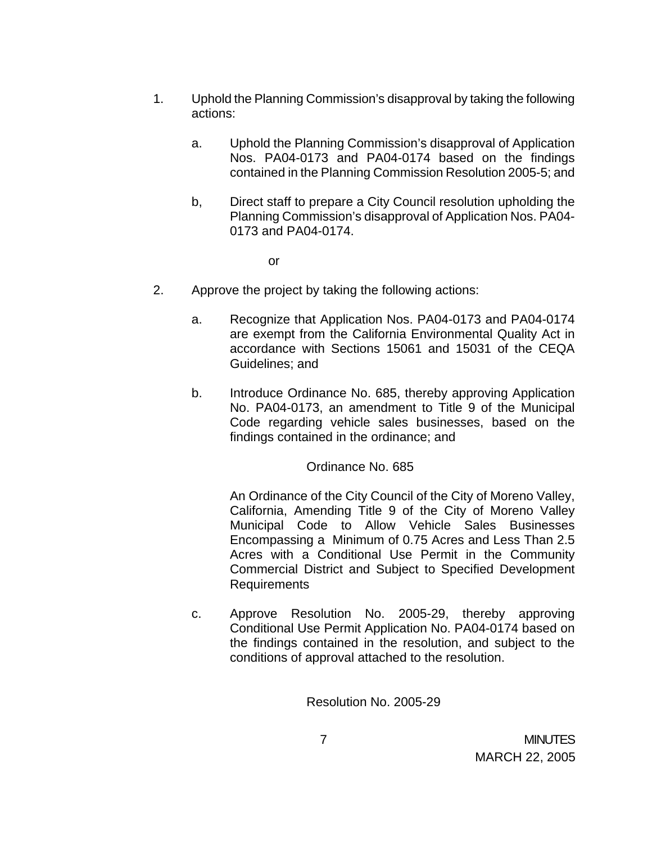- 1. Uphold the Planning Commission's disapproval by taking the following actions:
	- a. Uphold the Planning Commission's disapproval of Application Nos. PA04-0173 and PA04-0174 based on the findings contained in the Planning Commission Resolution 2005-5; and
	- b, Direct staff to prepare a City Council resolution upholding the Planning Commission's disapproval of Application Nos. PA04- 0173 and PA04-0174.

or

- 2. Approve the project by taking the following actions:
	- a. Recognize that Application Nos. PA04-0173 and PA04-0174 are exempt from the California Environmental Quality Act in accordance with Sections 15061 and 15031 of the CEQA Guidelines; and
	- b. Introduce Ordinance No. 685, thereby approving Application No. PA04-0173, an amendment to Title 9 of the Municipal Code regarding vehicle sales businesses, based on the findings contained in the ordinance; and

Ordinance No. 685

An Ordinance of the City Council of the City of Moreno Valley, California, Amending Title 9 of the City of Moreno Valley Municipal Code to Allow Vehicle Sales Businesses Encompassing a Minimum of 0.75 Acres and Less Than 2.5 Acres with a Conditional Use Permit in the Community Commercial District and Subject to Specified Development Requirements

c. Approve Resolution No. 2005-29, thereby approving Conditional Use Permit Application No. PA04-0174 based on the findings contained in the resolution, and subject to the conditions of approval attached to the resolution.

Resolution No. 2005-29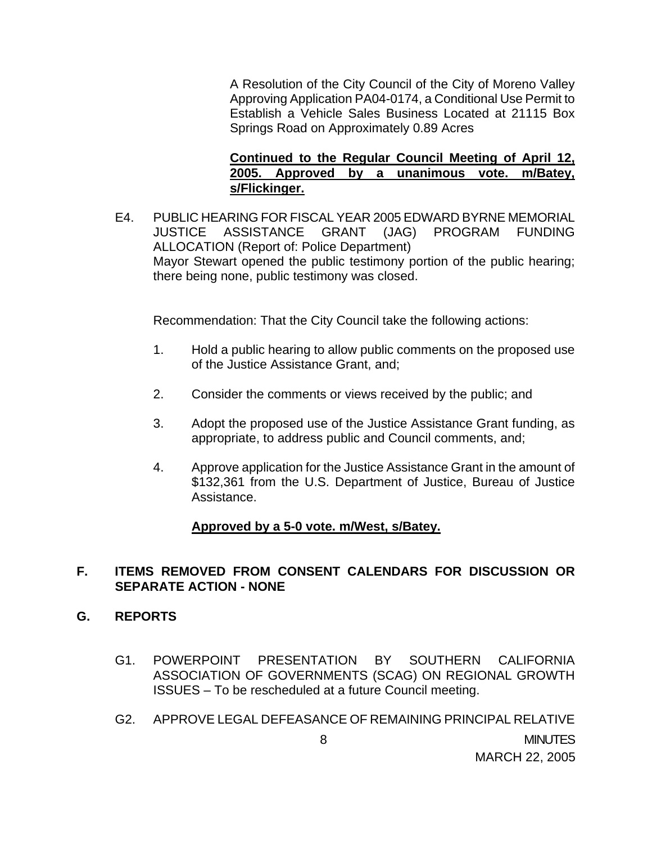A Resolution of the City Council of the City of Moreno Valley Approving Application PA04-0174, a Conditional Use Permit to Establish a Vehicle Sales Business Located at 21115 Box Springs Road on Approximately 0.89 Acres

### **Continued to the Regular Council Meeting of April 12, 2005. Approved by a unanimous vote. m/Batey, s/Flickinger.**

E4. PUBLIC HEARING FOR FISCAL YEAR 2005 EDWARD BYRNE MEMORIAL JUSTICE ASSISTANCE GRANT (JAG) PROGRAM FUNDING ALLOCATION (Report of: Police Department) Mayor Stewart opened the public testimony portion of the public hearing; there being none, public testimony was closed.

Recommendation: That the City Council take the following actions:

- 1. Hold a public hearing to allow public comments on the proposed use of the Justice Assistance Grant, and;
- 2. Consider the comments or views received by the public; and
- 3. Adopt the proposed use of the Justice Assistance Grant funding, as appropriate, to address public and Council comments, and;
- 4. Approve application for the Justice Assistance Grant in the amount of \$132,361 from the U.S. Department of Justice, Bureau of Justice Assistance.

### **Approved by a 5-0 vote. m/West, s/Batey.**

### **F. ITEMS REMOVED FROM CONSENT CALENDARS FOR DISCUSSION OR SEPARATE ACTION - NONE**

#### **G. REPORTS**

- G1. POWERPOINT PRESENTATION BY SOUTHERN CALIFORNIA ASSOCIATION OF GOVERNMENTS (SCAG) ON REGIONAL GROWTH ISSUES – To be rescheduled at a future Council meeting.
- 8 MINUTES MARCH 22, 2005 G2. APPROVE LEGAL DEFEASANCE OF REMAINING PRINCIPAL RELATIVE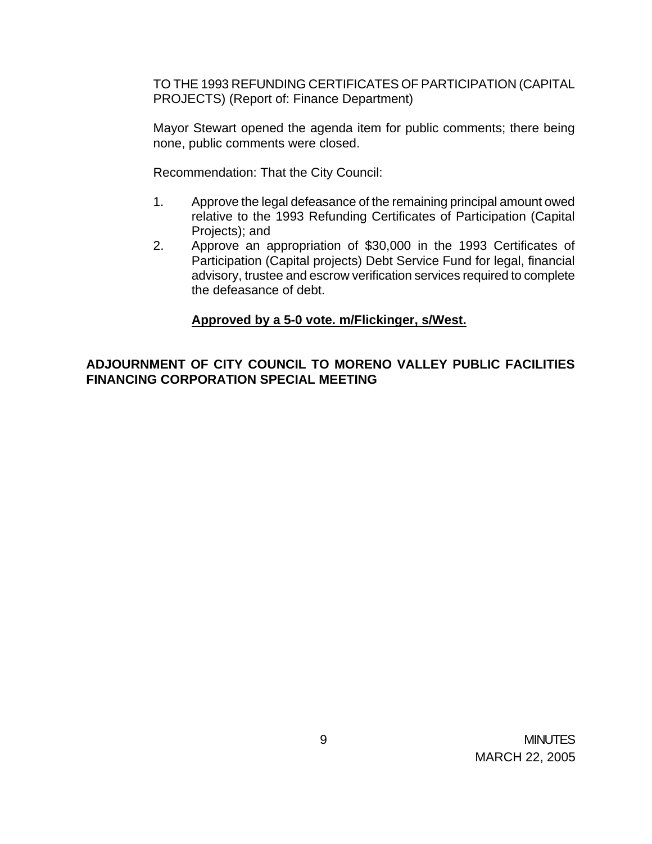TO THE 1993 REFUNDING CERTIFICATES OF PARTICIPATION (CAPITAL PROJECTS) (Report of: Finance Department)

 Mayor Stewart opened the agenda item for public comments; there being none, public comments were closed.

Recommendation: That the City Council:

- 1. Approve the legal defeasance of the remaining principal amount owed relative to the 1993 Refunding Certificates of Participation (Capital Projects); and
- 2. Approve an appropriation of \$30,000 in the 1993 Certificates of Participation (Capital projects) Debt Service Fund for legal, financial advisory, trustee and escrow verification services required to complete the defeasance of debt.

# **Approved by a 5-0 vote. m/Flickinger, s/West.**

# **ADJOURNMENT OF CITY COUNCIL TO MORENO VALLEY PUBLIC FACILITIES FINANCING CORPORATION SPECIAL MEETING**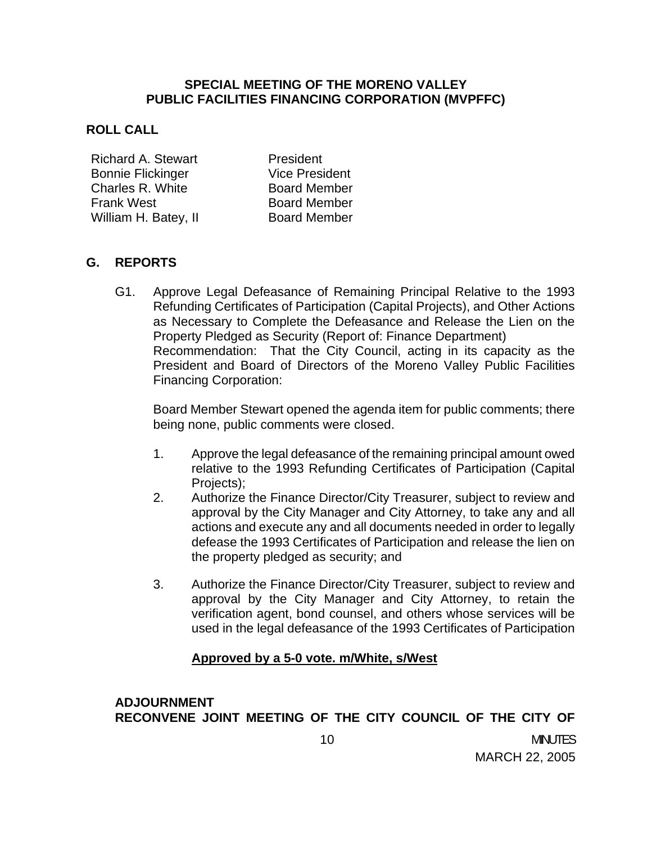### **SPECIAL MEETING OF THE MORENO VALLEY PUBLIC FACILITIES FINANCING CORPORATION (MVPFFC)**

#### **ROLL CALL**

Richard A. Stewart President Bonnie Flickinger **Vice President** Charles R. White **Board Member** Frank West **Board Member** William H. Batey, II Board Member

### **G. REPORTS**

 G1. Approve Legal Defeasance of Remaining Principal Relative to the 1993 Refunding Certificates of Participation (Capital Projects), and Other Actions as Necessary to Complete the Defeasance and Release the Lien on the Property Pledged as Security (Report of: Finance Department) Recommendation: That the City Council, acting in its capacity as the President and Board of Directors of the Moreno Valley Public Facilities Financing Corporation:

 Board Member Stewart opened the agenda item for public comments; there being none, public comments were closed.

- 1. Approve the legal defeasance of the remaining principal amount owed relative to the 1993 Refunding Certificates of Participation (Capital Projects):
- 2. Authorize the Finance Director/City Treasurer, subject to review and approval by the City Manager and City Attorney, to take any and all actions and execute any and all documents needed in order to legally defease the 1993 Certificates of Participation and release the lien on the property pledged as security; and
- 3. Authorize the Finance Director/City Treasurer, subject to review and approval by the City Manager and City Attorney, to retain the verification agent, bond counsel, and others whose services will be used in the legal defeasance of the 1993 Certificates of Participation

### **Approved by a 5-0 vote. m/White, s/West**

# **ADJOURNMENT RECONVENE JOINT MEETING OF THE CITY COUNCIL OF THE CITY OF**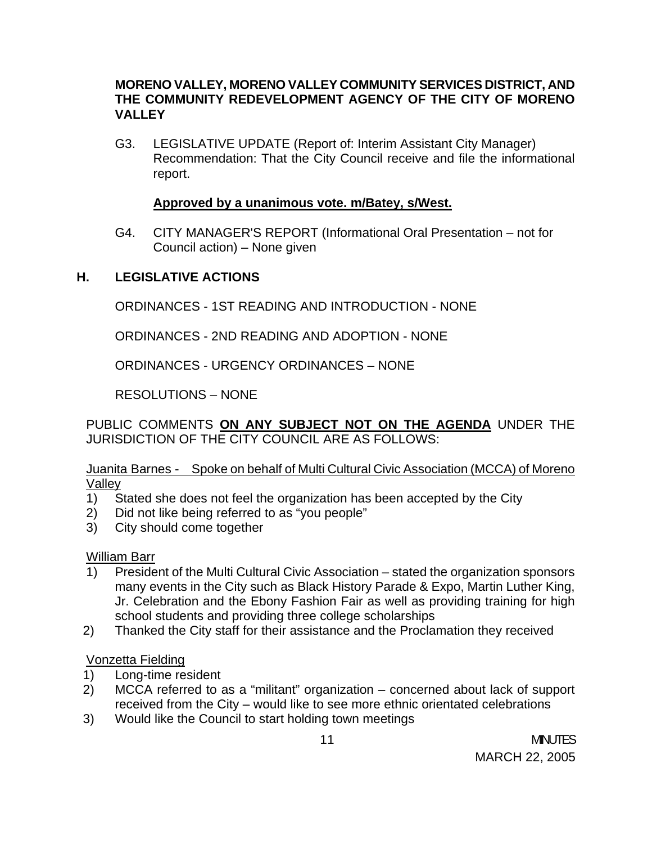### **MORENO VALLEY, MORENO VALLEY COMMUNITY SERVICES DISTRICT, AND THE COMMUNITY REDEVELOPMENT AGENCY OF THE CITY OF MORENO VALLEY**

G3. LEGISLATIVE UPDATE (Report of: Interim Assistant City Manager) Recommendation: That the City Council receive and file the informational report.

### **Approved by a unanimous vote. m/Batey, s/West.**

G4. CITY MANAGER'S REPORT (Informational Oral Presentation – not for Council action) – None given

# **H. LEGISLATIVE ACTIONS**

ORDINANCES - 1ST READING AND INTRODUCTION - NONE

ORDINANCES - 2ND READING AND ADOPTION - NONE

ORDINANCES - URGENCY ORDINANCES – NONE

RESOLUTIONS – NONE

PUBLIC COMMENTS **ON ANY SUBJECT NOT ON THE AGENDA** UNDER THE JURISDICTION OF THE CITY COUNCIL ARE AS FOLLOWS:

### Juanita Barnes - Spoke on behalf of Multi Cultural Civic Association (MCCA) of Moreno Valley

- 1) Stated she does not feel the organization has been accepted by the City
- 2) Did not like being referred to as "you people"
- 3) City should come together

William Barr

- 1) President of the Multi Cultural Civic Association stated the organization sponsors many events in the City such as Black History Parade & Expo, Martin Luther King, Jr. Celebration and the Ebony Fashion Fair as well as providing training for high school students and providing three college scholarships
- 2) Thanked the City staff for their assistance and the Proclamation they received

# Vonzetta Fielding

- 1) Long-time resident
- 2) MCCA referred to as a "militant" organization concerned about lack of support received from the City – would like to see more ethnic orientated celebrations
- 3) Would like the Council to start holding town meetings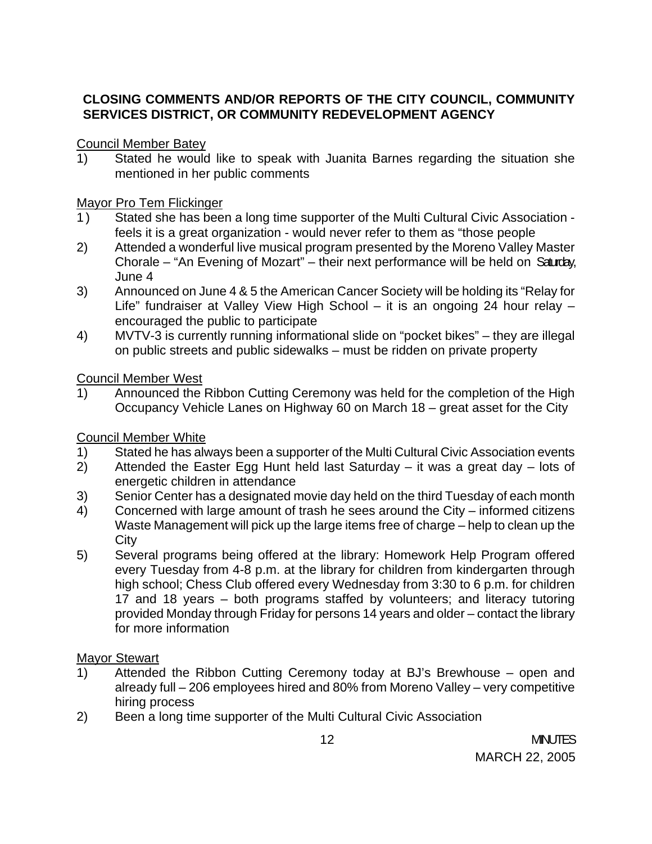# **CLOSING COMMENTS AND/OR REPORTS OF THE CITY COUNCIL, COMMUNITY SERVICES DISTRICT, OR COMMUNITY REDEVELOPMENT AGENCY**

Council Member Batey

1) Stated he would like to speak with Juanita Barnes regarding the situation she mentioned in her public comments

### Mayor Pro Tem Flickinger

- 1) Stated she has been a long time supporter of the Multi Cultural Civic Association feels it is a great organization - would never refer to them as "those people
- 2) Attended a wonderful live musical program presented by the Moreno Valley Master Chorale – "An Evening of Mozart" – their next performance will be held on Saturday, June 4
- 3) Announced on June 4 & 5 the American Cancer Society will be holding its "Relay for Life" fundraiser at Valley View High School – it is an ongoing 24 hour relay – encouraged the public to participate
- 4) MVTV-3 is currently running informational slide on "pocket bikes" they are illegal on public streets and public sidewalks – must be ridden on private property

### Council Member West

1) Announced the Ribbon Cutting Ceremony was held for the completion of the High Occupancy Vehicle Lanes on Highway 60 on March 18 – great asset for the City

# Council Member White

- 1) Stated he has always been a supporter of the Multi Cultural Civic Association events
- 2) Attended the Easter Egg Hunt held last Saturday it was a great day lots of energetic children in attendance
- 3) Senior Center has a designated movie day held on the third Tuesday of each month
- 4) Concerned with large amount of trash he sees around the City informed citizens Waste Management will pick up the large items free of charge – help to clean up the **City**
- 5) Several programs being offered at the library: Homework Help Program offered every Tuesday from 4-8 p.m. at the library for children from kindergarten through high school; Chess Club offered every Wednesday from 3:30 to 6 p.m. for children 17 and 18 years – both programs staffed by volunteers; and literacy tutoring provided Monday through Friday for persons 14 years and older – contact the library for more information

# **Mayor Stewart**

- 1) Attended the Ribbon Cutting Ceremony today at BJ's Brewhouse open and already full – 206 employees hired and 80% from Moreno Valley – very competitive hiring process
- 2) Been a long time supporter of the Multi Cultural Civic Association